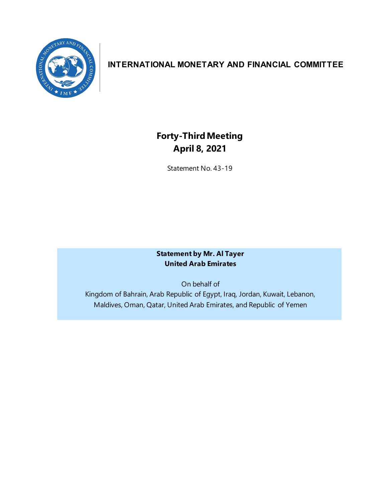

# **INTERNATIONAL MONETARY AND FINANCIAL COMMITTEE**

# **Forty-ThirdMeeting April 8, 2021**

Statement No. 43-19

#### **Statement by Mr. Al Tayer United Arab Emirates**

On behalf of Kingdom of Bahrain, Arab Republic of Egypt, Iraq, Jordan, Kuwait, Lebanon, Maldives, Oman, Qatar, United Arab Emirates, and Republic of Yemen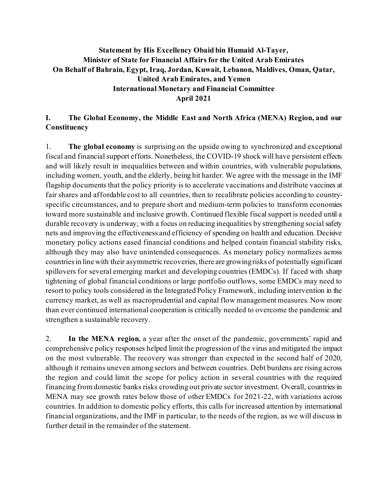#### **Statement by His Excellency Obaid bin Humaid Al-Tayer, Minister of State for Financial Affairs for the United Arab Emirates On Behalf of Bahrain, Egypt, Iraq, Jordan, Kuwait, Lebanon, Maldives, Oman, Qatar, United Arab Emirates, and Yemen International Monetary and Financial Committee April 2021**

#### **I. The Global Economy, the Middle East and North Africa (MENA) Region, and our Constituency**

1. **The global economy** is surprising on the upside owing to synchronized and exceptional fiscal and financial support efforts. Nonetheless, the COVID-19 shock will have persistent effects and will likely result in inequalities between and within countries, with vulnerable populations, including women, youth, and the elderly, being hit harder. We agree with the message in the IMF flagship documents that the policy priority is to accelerate vaccinations and distribute vaccines at fair shares and affordable cost to all countries, then to recalibrate policies according to countryspecific circumstances, and to prepare short and medium-term policies to transform economies toward more sustainable and inclusive growth. Continued flexible fiscal support is needed until a durable recovery is underway, with a focus on reducing inequalities by strengthening social safety nets and improving the effectiveness and efficiency of spending on health and education. Decisive monetary policy actions eased financial conditions and helped contain financial stability risks, although they may also have unintended consequences. As monetary policy normalizes across countries in line with their asymmetric recoveries, there are growing risks of potentially significant spillovers for several emerging market and developing countries (EMDCs). If faced with sharp tightening of global financial conditions or large portfolio outflows, some EMDCs may need to resort to policy tools considered in the Integrated Policy Framework, including intervention in the currency market, as well as macroprudential and capital flow management measures. Now more than ever continued international cooperation is critically needed to overcome the pandemic and strengthen a sustainable recovery.

2. **In the MENA region**, a year after the onset of the pandemic, governments' rapid and comprehensive policy responses helped limit the progression of the virus and mitigated the impact on the most vulnerable. The recovery was stronger than expected in the second half of 2020, although it remains uneven among sectors and between countries. Debt burdens are rising across the region and could limit the scope for policy action in several countries with the required financing from domestic banks risks crowding out private sector investment. Overall, countries in MENA may see growth rates below those of other EMDCs for 2021-22, with variations across countries. In addition to domestic policy efforts, this calls for increased attention by international financial organizations, and the IMF in particular, to the needs of the region, as we will discuss in further detail in the remainder of the statement.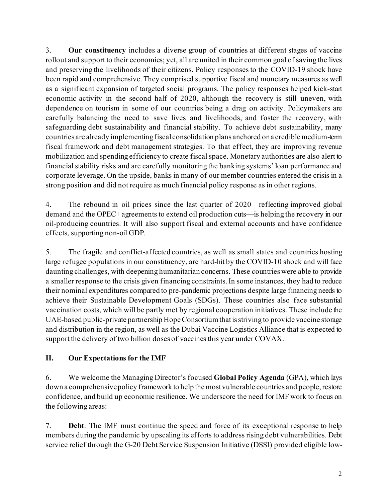3. **Our constituency** includes a diverse group of countries at different stages of vaccine rollout and support to their economies; yet, all are united in their common goal of saving the lives and preserving the livelihoods of their citizens. Policy responses to the COVID-19 shock have been rapid and comprehensive. They comprised supportive fiscal and monetary measures as well as a significant expansion of targeted social programs. The policy responses helped kick-start economic activity in the second half of 2020, although the recovery is still uneven, with dependence on tourism in some of our countries being a drag on activity. Policymakers are carefully balancing the need to save lives and livelihoods, and foster the recovery, with safeguarding debt sustainability and financial stability. To achieve debt sustainability, many countries are already implementing fiscal consolidation plans anchored on a credible medium-term fiscal framework and debt management strategies. To that effect, they are improving revenue mobilization and spending efficiency to create fiscal space. Monetary authorities are also alert to financial stability risks and are carefully monitoring the banking systems' loan performance and corporate leverage. On the upside, banks in many of our member countries entered the crisis in a strong position and did not require as much financial policy response as in other regions.

4. The rebound in oil prices since the last quarter of 2020—reflecting improved global demand and the OPEC+ agreements to extend oil production cuts—is helping the recovery in our oil-producing countries. It will also support fiscal and external accounts and have confidence effects, supporting non-oil GDP.

5. The fragile and conflict-affected countries, as well as small states and countries hosting large refugee populations in our constituency, are hard-hit by the COVID-10 shock and will face daunting challenges, with deepening humanitarian concerns. These countries were able to provide a smaller response to the crisis given financing constraints. In some instances, they had to reduce their nominal expenditures compared to pre-pandemic projections despite large financing needs to achieve their Sustainable Development Goals (SDGs). These countries also face substantial vaccination costs, which will be partly met by regional cooperation initiatives. These include the UAE-based public-private partnership Hope Consortium that is striving to provide vaccine storage and distribution in the region, as well as the Dubai Vaccine Logistics Alliance that is expected to support the delivery of two billion doses of vaccines this year under COVAX.

## **II. Our Expectations for the IMF**

6. We welcome the Managing Director's focused **Global Policy Agenda** (GPA), which lays down a comprehensivepolicy framework to help the most vulnerable countries and people, restore confidence, and build up economic resilience. We underscore the need for IMF work to focus on the following areas:

7. **Debt**. The IMF must continue the speed and force of its exceptional response to help members during the pandemic by upscaling its efforts to address rising debt vulnerabilities. Debt service relief through the G-20 Debt Service Suspension Initiative (DSSI) provided eligible low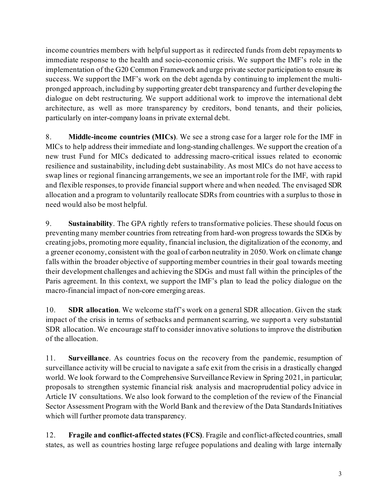income countries members with helpful support as it redirected funds from debt repayments to immediate response to the health and socio-economic crisis. We support the IMF's role in the implementation of the G20 Common Framework and urge private sector participation to ensure its success. We support the IMF's work on the debt agenda by continuing to implement the multipronged approach, including by supporting greater debt transparency and further developing the dialogue on debt restructuring. We support additional work to improve the international debt architecture, as well as more transparency by creditors, bond tenants, and their policies, particularly on inter-company loans in private external debt.

8. **Middle-income countries (MICs)**. We see a strong case for a larger role for the IMF in MICs to help address their immediate and long-standing challenges. We support the creation of a new trust Fund for MICs dedicated to addressing macro-critical issues related to economic resilience and sustainability, including debt sustainability. As most MICs do not have access to swap lines or regional financing arrangements, we see an important role for the IMF, with rapid and flexible responses, to provide financial support where and when needed. The envisaged SDR allocation and a program to voluntarily reallocate SDRs from countries with a surplus to those in need would also be most helpful.

9. **Sustainability**. The GPA rightly refers to transformative policies. These should focus on preventing many member countries from retreating from hard-won progress towards the SDGs by creating jobs, promoting more equality, financial inclusion, the digitalization of the economy, and a greener economy, consistent with the goal of carbon neutrality in 2050. Work on climate change falls within the broader objective of supporting member countries in their goal towards meeting their development challenges and achieving the SDGs and must fall within the principles of the Paris agreement. In this context, we support the IMF's plan to lead the policy dialogue on the macro-financial impact of non-core emerging areas.

10. **SDR allocation**. We welcome staff's work on a general SDR allocation. Given the stark impact of the crisis in terms of setbacks and permanent scarring, we support a very substantial SDR allocation. We encourage staff to consider innovative solutions to improve the distribution of the allocation.

11. **Surveillance**. As countries focus on the recovery from the pandemic, resumption of surveillance activity will be crucial to navigate a safe exit from the crisis in a drastically changed world. We look forward to the Comprehensive Surveillance Review in Spring 2021, in particular; proposals to strengthen systemic financial risk analysis and macroprudential policy advice in Article IV consultations. We also look forward to the completion of the review of the Financial Sector Assessment Program with the World Bank and the review of the Data Standards Initiatives which will further promote data transparency.

12. **Fragile and conflict-affected states (FCS)**. Fragile and conflict-affected countries, small states, as well as countries hosting large refugee populations and dealing with large internally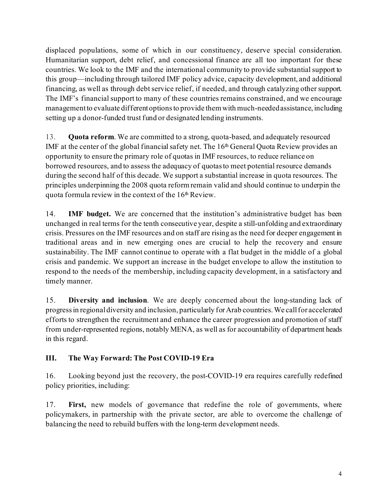displaced populations, some of which in our constituency, deserve special consideration. Humanitarian support, debt relief, and concessional finance are all too important for these countries. We look to the IMF and the international community to provide substantial support to this group—including through tailored IMF policy advice, capacity development, and additional financing, as well as through debt service relief, if needed, and through catalyzing other support. The IMF's financial support to many of these countries remains constrained, and we encourage management to evaluate different options to provide them with much-needed assistance, including setting up a donor-funded trust fund or designated lending instruments.

13. **Quota reform**. We are committed to a strong, quota-based, and adequately resourced IMF at the center of the global financial safety net. The  $16<sup>th</sup>$  General Quota Review provides an opportunity to ensure the primary role of quotas in IMF resources, to reduce reliance on borrowed resources, and to assess the adequacy of quotas to meet potential resource demands during the second half of this decade. We support a substantial increase in quota resources. The principles underpinning the 2008 quota reform remain valid and should continue to underpin the quota formula review in the context of the  $16<sup>th</sup>$  Review.

14. **IMF budget.** We are concerned that the institution's administrative budget has been unchanged in real terms for the tenth consecutive year, despite a still-unfolding and extraordinary crisis. Pressures on the IMF resources and on staff are rising as the need for deeper engagement in traditional areas and in new emerging ones are crucial to help the recovery and ensure sustainability. The IMF cannot continue to operate with a flat budget in the middle of a global crisis and pandemic. We support an increase in the budget envelope to allow the institution to respond to the needs of the membership, including capacity development, in a satisfactory and timely manner.

15. **Diversity and inclusion**. We are deeply concerned about the long-standing lack of progress in regional diversity and inclusion, particularly for Arab countries. We call for accelerated efforts to strengthen the recruitment and enhance the career progression and promotion of staff from under-represented regions, notably MENA, as well as for accountability of department heads in this regard.

## **III. The Way Forward: The Post COVID-19 Era**

16. Looking beyond just the recovery, the post-COVID-19 era requires carefully redefined policy priorities, including:

17. **First,** new models of governance that redefine the role of governments, where policymakers, in partnership with the private sector, are able to overcome the challenge of balancing the need to rebuild buffers with the long-term development needs.